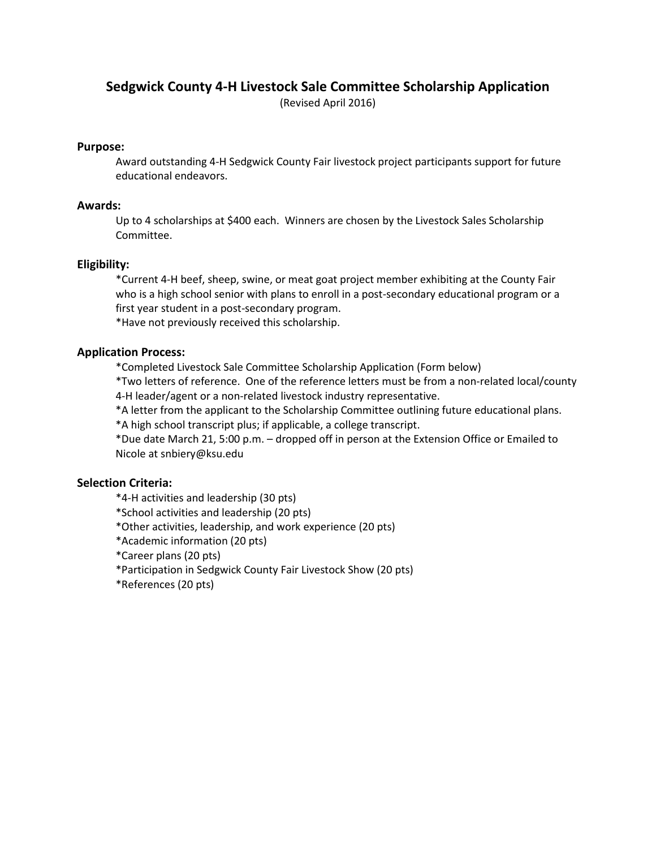# **Sedgwick County 4-H Livestock Sale Committee Scholarship Application**

(Revised April 2016)

### **Purpose:**

Award outstanding 4-H Sedgwick County Fair livestock project participants support for future educational endeavors.

## **Awards:**

Up to 4 scholarships at \$400 each. Winners are chosen by the Livestock Sales Scholarship Committee.

## **Eligibility:**

\*Current 4-H beef, sheep, swine, or meat goat project member exhibiting at the County Fair who is a high school senior with plans to enroll in a post-secondary educational program or a first year student in a post-secondary program.

\*Have not previously received this scholarship.

## **Application Process:**

\*Completed Livestock Sale Committee Scholarship Application (Form below)

\*Two letters of reference. One of the reference letters must be from a non-related local/county 4-H leader/agent or a non-related livestock industry representative.

\*A letter from the applicant to the Scholarship Committee outlining future educational plans.

\*A high school transcript plus; if applicable, a college transcript.

\*Due date March 21, 5:00 p.m. – dropped off in person at the Extension Office or Emailed to Nicole at snbiery@ksu.edu

## **Selection Criteria:**

\*4-H activities and leadership (30 pts)

- \*School activities and leadership (20 pts)
- \*Other activities, leadership, and work experience (20 pts)
- \*Academic information (20 pts)
- \*Career plans (20 pts)
- \*Participation in Sedgwick County Fair Livestock Show (20 pts)
- \*References (20 pts)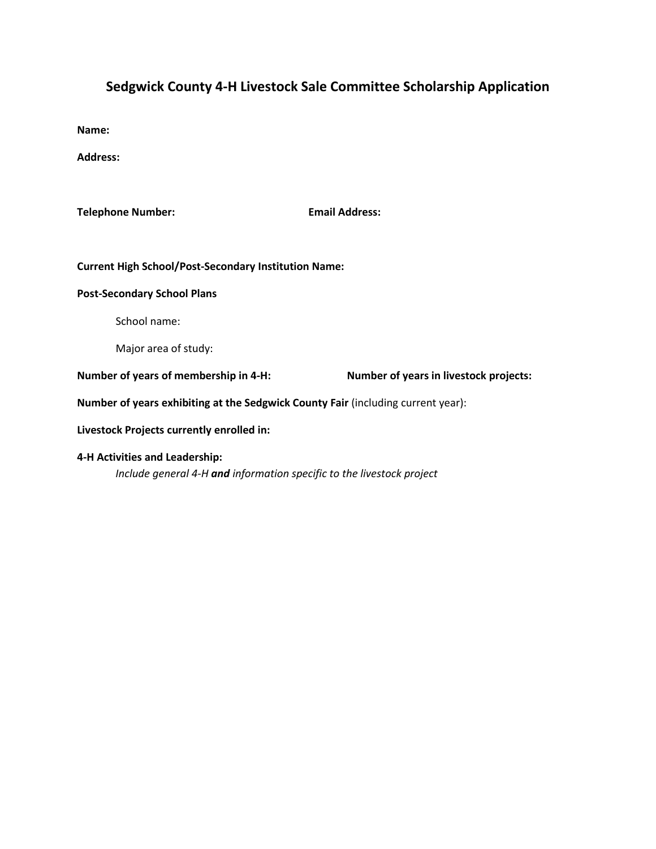# **Sedgwick County 4-H Livestock Sale Committee Scholarship Application**

**Name:**

**Address:**

**Telephone Number: Email Address:**

**Current High School/Post-Secondary Institution Name:**

#### **Post-Secondary School Plans**

School name:

Major area of study:

**Number of years of membership in 4-H: Number of years in livestock projects:**

**Number of years exhibiting at the Sedgwick County Fair** (including current year):

**Livestock Projects currently enrolled in:**

### **4-H Activities and Leadership:**

*Include general 4-H and information specific to the livestock project*